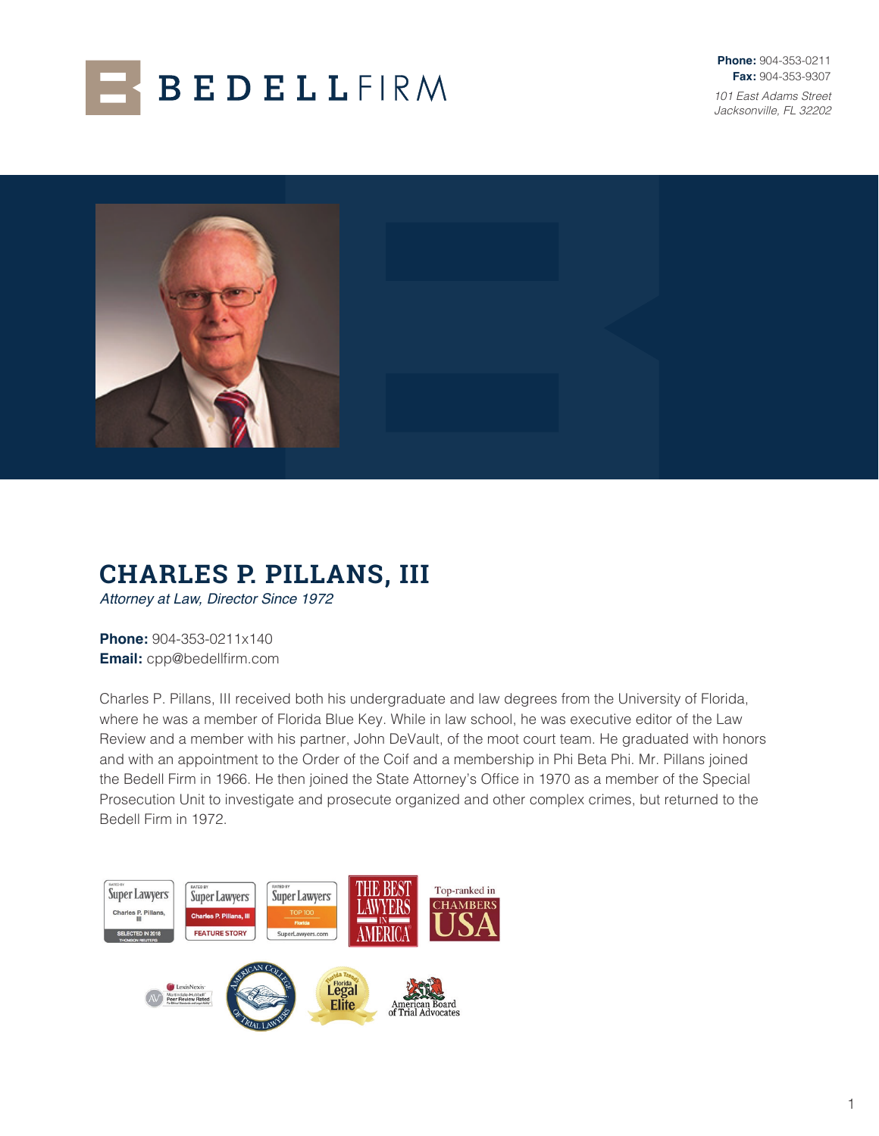

**Phone:** 904-353-0211 **Fax:** 904-353-9307 *101 East Adams Street Jacksonville, FL 32202*



# **CHARLES P. PILLANS, III**

*Attorney at Law, Director Since 1972*

**Phone:** 904-353-0211x140 **Email:** cpp@bedellfirm.com

Charles P. Pillans, III received both his undergraduate and law degrees from the University of Florida, where he was a member of Florida Blue Key. While in law school, he was executive editor of the Law Review and a member with his partner, John DeVault, of the moot court team. He graduated with honors and with an appointment to the Order of the Coif and a membership in Phi Beta Phi. Mr. Pillans joined the Bedell Firm in 1966. He then joined the State Attorney's Office in 1970 as a member of the Special Prosecution Unit to investigate and prosecute organized and other complex crimes, but returned to the Bedell Firm in 1972.